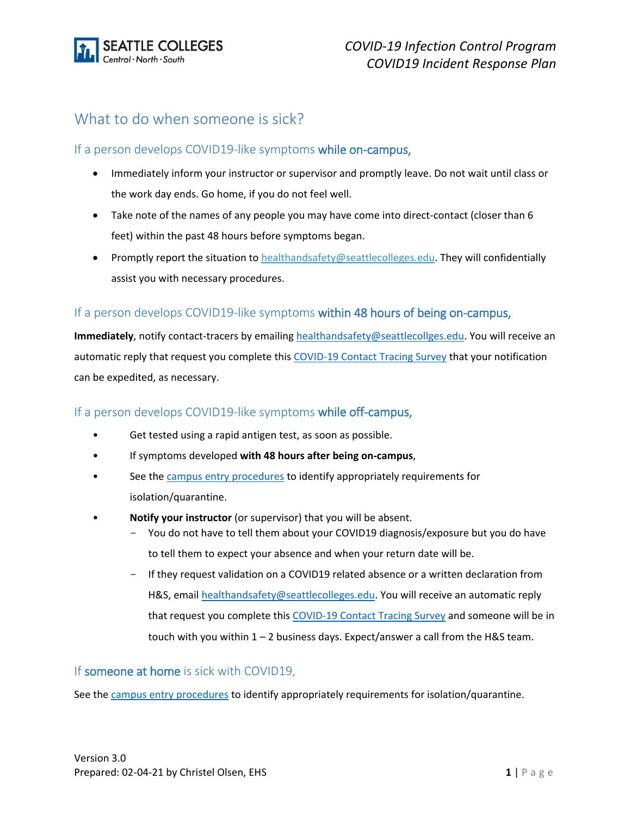

# What to do when someone is sick?

### If a person develops COVID19-like symptoms while on-campus,

- Immediately inform your instructor or supervisor and promptly leave. Do not wait until class or the work day ends. Go home, if you do not feel well.
- Take note of the names of any people you may have come into direct-contact (closer than 6 feet) within the past 48 hours before symptoms began.
- Promptly report the situation t[o healthandsafety@seattlecolleges.edu.](mailto:healthandsafety@seattlecolleges.edu) They will confidentially assist you with necessary procedures.

### If a person develops COVID19-like symptoms within 48 hours of being on-campus,

**Immediately**, notify contact-tracers by emailin[g healthandsafety@seattlecollges.edu.](mailto:healthandsafety@seattlecollges.edu) You will receive an automatic reply that request you complete this [COVID-19 Contact Tracing Survey](https://nam04.safelinks.protection.outlook.com/?url=https%3A%2F%2Fforms.office.com%2FPages%2FResponsePage.aspx%3Fid%3DOP_YAhHXMU6pFWy1z_eI30JcjLR8tahJmkvHKrXK4xNUQVFNVFQ5SUQwNzk3Tk9CT1E3RElIVk9SNi4u&data=04%7C01%7C%7C956875a3607c4414671608d9e0fbac2b%7C02d8ff38d7114e31a9156cb5cff788df%7C0%7C0%7C637788193788167694%7CUnknown%7CTWFpbGZsb3d8eyJWIjoiMC4wLjAwMDAiLCJQIjoiV2luMzIiLCJBTiI6Ik1haWwiLCJXVCI6Mn0%3D%7C3000&sdata=%2BUZGDd%2FyrAmsNrQAqwxHJ7nig8kXxM4Yim61CJn6mGA%3D&reserved=0) that your notification can be expedited, as necessary.

#### If a person develops COVID19-like symptoms while off-campus,

- Get tested using a rapid antigen test, as soon as possible.
- If symptoms developed **with 48 hours after being on-campus**,
- See the [campus entry procedures](https://www.seattlecolleges.edu/coming-campus/current-campus-entry-procedures) to identify appropriately requirements for isolation/quarantine.
- **Notify your instructor** (or supervisor) that you will be absent.
	- You do not have to tell them about your COVID19 diagnosis/exposure but you do have to tell them to expect your absence and when your return date will be.
	- If they request validation on a COVID19 related absence or a written declaration from H&S, emai[l healthandsafety@seattlecolleges.edu.](mailto:healthandsafety@seattlecolleges.edu) You will receive an automatic reply that request you complete this [COVID-19 Contact Tracing Survey](https://nam04.safelinks.protection.outlook.com/?url=https%3A%2F%2Fforms.office.com%2FPages%2FResponsePage.aspx%3Fid%3DOP_YAhHXMU6pFWy1z_eI30JcjLR8tahJmkvHKrXK4xNUQVFNVFQ5SUQwNzk3Tk9CT1E3RElIVk9SNi4u&data=04%7C01%7C%7C956875a3607c4414671608d9e0fbac2b%7C02d8ff38d7114e31a9156cb5cff788df%7C0%7C0%7C637788193788167694%7CUnknown%7CTWFpbGZsb3d8eyJWIjoiMC4wLjAwMDAiLCJQIjoiV2luMzIiLCJBTiI6Ik1haWwiLCJXVCI6Mn0%3D%7C3000&sdata=%2BUZGDd%2FyrAmsNrQAqwxHJ7nig8kXxM4Yim61CJn6mGA%3D&reserved=0) and someone will be in touch with you within  $1 - 2$  business days. Expect/answer a call from the H&S team.

### If someone at home is sick with COVID19,

See the [campus entry procedures](https://www.seattlecolleges.edu/coming-campus/current-campus-entry-procedures) to identify appropriately requirements for isolation/quarantine.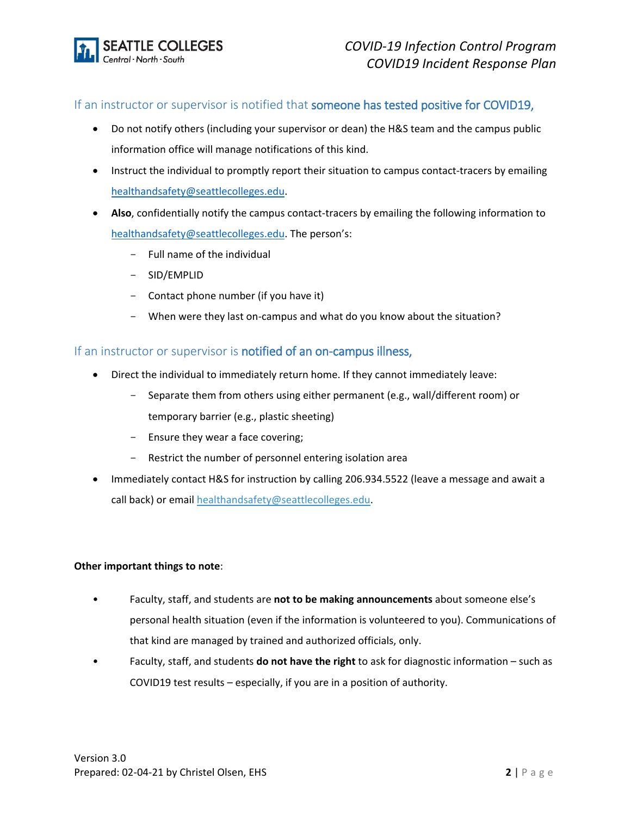

### If an instructor or supervisor is notified that someone has tested positive for COVID19,

- Do not notify others (including your supervisor or dean) the H&S team and the campus public information office will manage notifications of this kind.
- Instruct the individual to promptly report their situation to campus contact-tracers by emailing [healthandsafety@seattlecolleges.edu.](mailto:healthandsafety@seattlecolleges.edu)
- **Also**, confidentially notify the campus contact-tracers by emailing the following information to [healthandsafety@seattlecolleges.edu.](mailto:healthandsafety@seattlecolleges.edu) The person's:
	- Full name of the individual
	- SID/EMPLID
	- $-$  Contact phone number (if you have it)
	- When were they last on-campus and what do you know about the situation?

#### If an instructor or supervisor is notified of an on-campus illness,

- Direct the individual to immediately return home. If they cannot immediately leave:
	- Separate them from others using either permanent (e.g., wall/different room) or temporary barrier (e.g., plastic sheeting)
	- Ensure they wear a face covering;
	- Restrict the number of personnel entering isolation area
- Immediately contact H&S for instruction by calling 206.934.5522 (leave a message and await a call back) or email [healthandsafety@seattlecolleges.edu.](mailto:healthandsafety@seattlecolleges.edu)

#### **Other important things to note**:

- Faculty, staff, and students are **not to be making announcements** about someone else's personal health situation (even if the information is volunteered to you). Communications of that kind are managed by trained and authorized officials, only.
- Faculty, staff, and students **do not have the right** to ask for diagnostic information such as COVID19 test results – especially, if you are in a position of authority.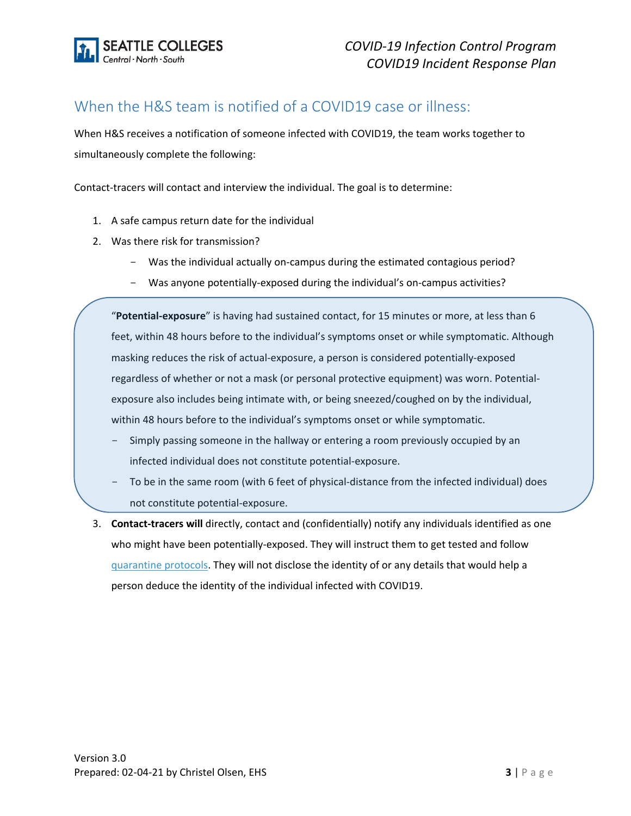

# When the H&S team is notified of a COVID19 case or illness:

When H&S receives a notification of someone infected with COVID19, the team works together to simultaneously complete the following:

Contact-tracers will contact and interview the individual. The goal is to determine:

- 1. A safe campus return date for the individual
- 2. Was there risk for transmission?
	- Was the individual actually on-campus during the estimated contagious period?
	- Was anyone potentially-exposed during the individual's on-campus activities?

"**Potential-exposure**" is having had sustained contact, for 15 minutes or more, at less than 6 feet, within 48 hours before to the individual's symptoms onset or while symptomatic. Although masking reduces the risk of actual-exposure, a person is considered potentially-exposed regardless of whether or not a mask (or personal protective equipment) was worn. Potentialexposure also includes being intimate with, or being sneezed/coughed on by the individual, within 48 hours before to the individual's symptoms onset or while symptomatic.

- Simply passing someone in the hallway or entering a room previously occupied by an infected individual does not constitute potential-exposure.
- To be in the same room (with 6 feet of physical-distance from the infected individual) does not constitute potential-exposure.
- 3. **Contact-tracers will** directly, contact and (confidentially) notify any individuals identified as one who might have been potentially-exposed. They will instruct them to get tested and follow quarantine protocols. They will not disclose the identity of or any details that would help a person deduce the identity of the individual infected with COVID19.